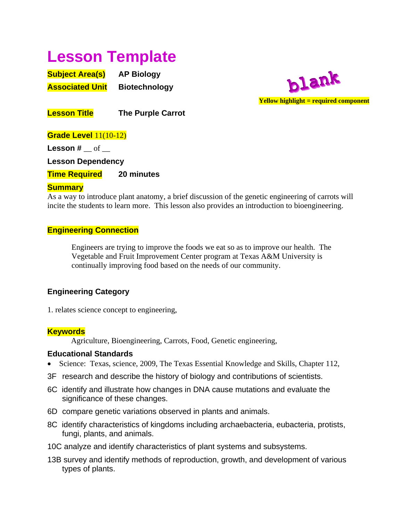# **Lesson Template**

**Subject Area(s) AP Biology Associated Unit** Biotechnology



**Lesson Title The Purple Carrot** 

**Grade Level** 11(10-12) **Lesson #** \_\_ of \_\_ **Lesson Dependency Time Required 20 minutes** 

## **Summary**

As a way to introduce plant anatomy, a brief discussion of the genetic engineering of carrots will incite the students to learn more. This lesson also provides an introduction to bioengineering.

# **Engineering Connection**

 Engineers are trying to improve the foods we eat so as to improve our health. The Vegetable and Fruit Improvement Center program at Texas A&M University is continually improving food based on the needs of our community.

# **Engineering Category**

1. relates science concept to engineering,

## **Keywords**

Agriculture, Bioengineering, Carrots, Food, Genetic engineering,

## **Educational Standards**

- Science: Texas, science, 2009, The Texas Essential Knowledge and Skills, Chapter 112,
- 3F research and describe the history of biology and contributions of scientists.
- 6C identify and illustrate how changes in DNA cause mutations and evaluate the significance of these changes.
- 6D compare genetic variations observed in plants and animals.
- 8C identify characteristics of kingdoms including archaebacteria, eubacteria, protists, fungi, plants, and animals.
- 10C analyze and identify characteristics of plant systems and subsystems.
- 13B survey and identify methods of reproduction, growth, and development of various types of plants.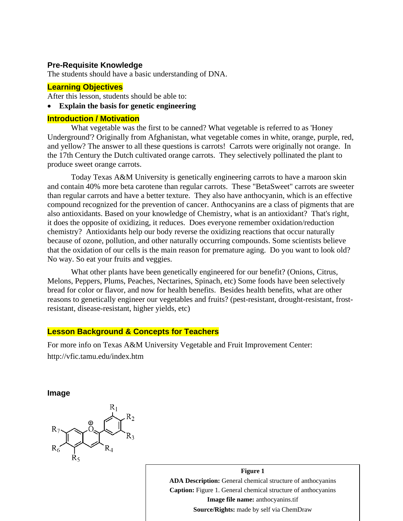#### **Pre-Requisite Knowledge**

The students should have a basic understanding of DNA.

#### **Learning Objectives**

After this lesson, students should be able to:

#### • **Explain the basis for genetic engineering**

#### **Introduction / Motivation**

 What vegetable was the first to be canned? What vegetable is referred to as 'Honey Underground'? Originally from Afghanistan, what vegetable comes in white, orange, purple, red, and yellow? The answer to all these questions is carrots! Carrots were originally not orange. In the 17th Century the Dutch cultivated orange carrots. They selectively pollinated the plant to produce sweet orange carrots.

 Today Texas A&M University is genetically engineering carrots to have a maroon skin and contain 40% more beta carotene than regular carrots. These "BetaSweet" carrots are sweeter than regular carrots and have a better texture. They also have anthocyanin, which is an effective compound recognized for the prevention of cancer. Anthocyanins are a class of pigments that are also antioxidants. Based on your knowledge of Chemistry, what is an antioxidant? That's right, it does the opposite of oxidizing, it reduces. Does everyone remember oxidation/reduction chemistry? Antioxidants help our body reverse the oxidizing reactions that occur naturally because of ozone, pollution, and other naturally occurring compounds. Some scientists believe that the oxidation of our cells is the main reason for premature aging. Do you want to look old? No way. So eat your fruits and veggies.

 What other plants have been genetically engineered for our benefit? (Onions, Citrus, Melons, Peppers, Plums, Peaches, Nectarines, Spinach, etc) Some foods have been selectively bread for color or flavor, and now for health benefits. Besides health benefits, what are other reasons to genetically engineer our vegetables and fruits? (pest-resistant, drought-resistant, frostresistant, disease-resistant, higher yields, etc)

#### **Lesson Background & Concepts for Teachers**

For more info on Texas A&M University Vegetable and Fruit Improvement Center: http://vfic.tamu.edu/index.htm

**Image** 



**Figure 1 ADA Description:** General chemical structure of anthocyanins **Caption:** Figure 1. General chemical structure of anthocyanins **Image file name:** anthocyanins.tif **Source/Rights:** made by self via ChemDraw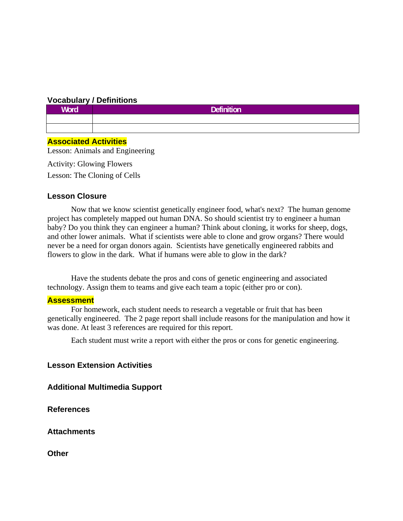#### **Vocabulary / Definitions**

| <b>Word</b> | <b>Definition</b> |
|-------------|-------------------|
|             |                   |
|             |                   |

#### **Associated Activities**

Lesson: Animals and Engineering

Activity: Glowing Flowers Lesson: The Cloning of Cells

#### **Lesson Closure**

 Now that we know scientist genetically engineer food, what's next? The human genome project has completely mapped out human DNA. So should scientist try to engineer a human baby? Do you think they can engineer a human? Think about cloning, it works for sheep, dogs, and other lower animals. What if scientists were able to clone and grow organs? There would never be a need for organ donors again. Scientists have genetically engineered rabbits and flowers to glow in the dark. What if humans were able to glow in the dark?

 Have the students debate the pros and cons of genetic engineering and associated technology. Assign them to teams and give each team a topic (either pro or con).

#### **Assessment**

 For homework, each student needs to research a vegetable or fruit that has been genetically engineered. The 2 page report shall include reasons for the manipulation and how it was done. At least 3 references are required for this report.

Each student must write a report with either the pros or cons for genetic engineering.

#### **Lesson Extension Activities**

**Additional Multimedia Support** 

**References** 

**Attachments** 

**Other**